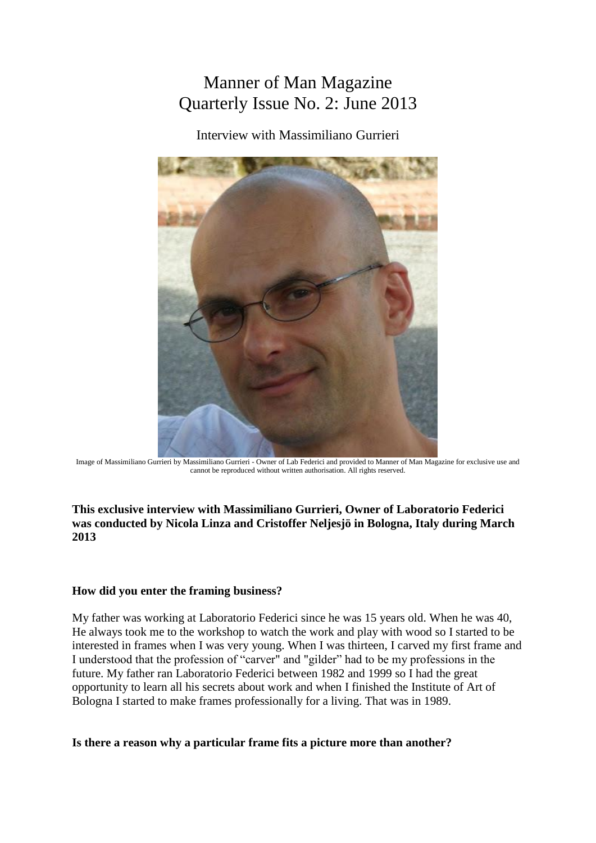# Manner of Man Magazine Quarterly Issue No. 2: June 2013

Interview with Massimiliano Gurrieri



Image of Massimiliano Gurrieri by Massimiliano Gurrieri - Owner of Lab Federici and provided to Manner of Man Magazine for exclusive use and cannot be reproduced without written authorisation. All rights reserved.

## **This exclusive interview with Massimiliano Gurrieri, Owner of Laboratorio Federici was conducted by Nicola Linza and Cristoffer Neljesjö in Bologna, Italy during March 2013**

## **How did you enter the framing business?**

My father was working at Laboratorio Federici since he was 15 years old. When he was 40, He always took me to the workshop to watch the work and play with wood so I started to be interested in frames when I was very young. When I was thirteen, I carved my first frame and I understood that the profession of "carver" and "gilder" had to be my professions in the future. My father ran Laboratorio Federici between 1982 and 1999 so I had the great opportunity to learn all his secrets about work and when I finished the Institute of Art of Bologna I started to make frames professionally for a living. That was in 1989.

#### **Is there a reason why a particular frame fits a picture more than another?**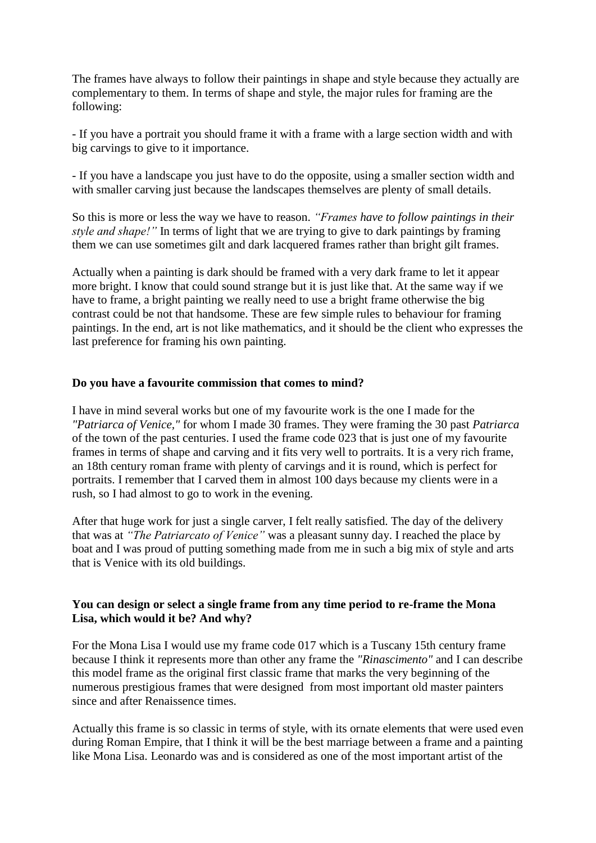The frames have always to follow their paintings in shape and style because they actually are complementary to them. In terms of shape and style, the major rules for framing are the following:

- If you have a portrait you should frame it with a frame with a large section width and with big carvings to give to it importance.

- If you have a landscape you just have to do the opposite, using a smaller section width and with smaller carving just because the landscapes themselves are plenty of small details.

So this is more or less the way we have to reason. *"Frames have to follow paintings in their style and shape!"* In terms of light that we are trying to give to dark paintings by framing them we can use sometimes gilt and dark lacquered frames rather than bright gilt frames.

Actually when a painting is dark should be framed with a very dark frame to let it appear more bright. I know that could sound strange but it is just like that. At the same way if we have to frame, a bright painting we really need to use a bright frame otherwise the big contrast could be not that handsome. These are few simple rules to behaviour for framing paintings. In the end, art is not like mathematics, and it should be the client who expresses the last preference for framing his own painting.

#### **Do you have a favourite commission that comes to mind?**

I have in mind several works but one of my favourite work is the one I made for the *"Patriarca of Venice,"* for whom I made 30 frames. They were framing the 30 past *Patriarca* of the town of the past centuries. I used the frame code 023 that is just one of my favourite frames in terms of shape and carving and it fits very well to portraits. It is a very rich frame, an 18th century roman frame with plenty of carvings and it is round, which is perfect for portraits. I remember that I carved them in almost 100 days because my clients were in a rush, so I had almost to go to work in the evening.

After that huge work for just a single carver, I felt really satisfied. The day of the delivery that was at *"The Patriarcato of Venice"* was a pleasant sunny day. I reached the place by boat and I was proud of putting something made from me in such a big mix of style and arts that is Venice with its old buildings.

## **You can design or select a single frame from any time period to re-frame the Mona Lisa, which would it be? And why?**

For the Mona Lisa I would use my frame code 017 which is a Tuscany 15th century frame because I think it represents more than other any frame the *"Rinascimento"* and I can describe this model frame as the original first classic frame that marks the very beginning of the numerous prestigious frames that were designed from most important old master painters since and after Renaissence times.

Actually this frame is so classic in terms of style, with its ornate elements that were used even during Roman Empire, that I think it will be the best marriage between a frame and a painting like Mona Lisa. Leonardo was and is considered as one of the most important artist of the